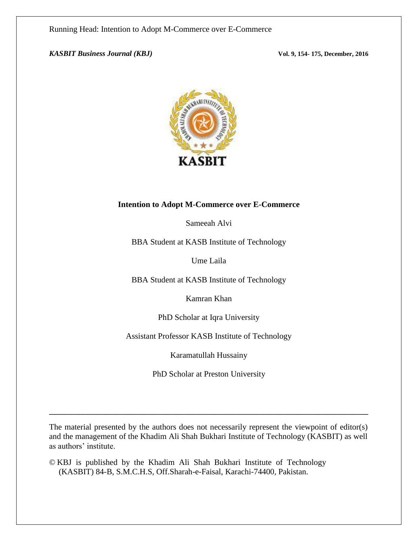*KASBIT Business Journal (KBJ)* **Vol. 9, 154- 175, December, 2016**



## **Intention to Adopt M-Commerce over E-Commerce**

Sameeah Alvi

BBA Student at KASB Institute of Technology

Ume Laila

BBA Student at KASB Institute of Technology

Kamran Khan

PhD Scholar at Iqra University

Assistant Professor KASB Institute of Technology

Karamatullah Hussainy

PhD Scholar at Preston University

The material presented by the authors does not necessarily represent the viewpoint of editor(s) and the management of the Khadim Ali Shah Bukhari Institute of Technology (KASBIT) as well as authors' institute.

**\_\_\_\_\_\_\_\_\_\_\_\_\_\_\_\_\_\_\_\_\_\_\_\_\_\_\_\_\_\_\_\_\_\_\_\_\_\_\_\_\_\_\_\_\_\_\_\_\_\_\_\_\_\_\_\_\_\_\_\_\_\_\_\_\_\_\_\_\_\_\_\_\_\_\_\_\_\_\_\_\_\_\_\_\_**

© KBJ is published by the Khadim Ali Shah Bukhari Institute of Technology (KASBIT) 84-B, S.M.C.H.S, Off.Sharah-e-Faisal, Karachi-74400, Pakistan.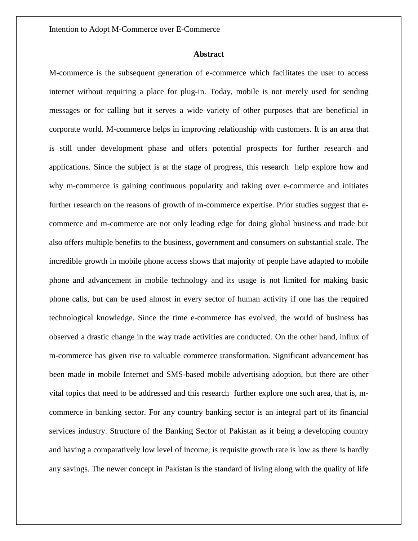## **Abstract**

M-commerce is the subsequent generation of e-commerce which facilitates the user to access internet without requiring a place for plug-in. Today, mobile is not merely used for sending messages or for calling but it serves a wide variety of other purposes that are beneficial in corporate world. M-commerce helps in improving relationship with customers. It is an area that is still under development phase and offers potential prospects for further research and applications. Since the subject is at the stage of progress, this research help explore how and why m-commerce is gaining continuous popularity and taking over e-commerce and initiates further research on the reasons of growth of m-commerce expertise. Prior studies suggest that ecommerce and m-commerce are not only leading edge for doing global business and trade but also offers multiple benefits to the business, government and consumers on substantial scale. The incredible growth in mobile phone access shows that majority of people have adapted to mobile phone and advancement in mobile technology and its usage is not limited for making basic phone calls, but can be used almost in every sector of human activity if one has the required technological knowledge. Since the time e-commerce has evolved, the world of business has observed a drastic change in the way trade activities are conducted. On the other hand, influx of m-commerce has given rise to valuable commerce transformation. Significant advancement has been made in mobile Internet and SMS-based mobile advertising adoption, but there are other vital topics that need to be addressed and this research further explore one such area, that is, mcommerce in banking sector. For any country banking sector is an integral part of its financial services industry. Structure of the Banking Sector of Pakistan as it being a developing country and having a comparatively low level of income, is requisite growth rate is low as there is hardly any savings. The newer concept in Pakistan is the standard of living along with the quality of life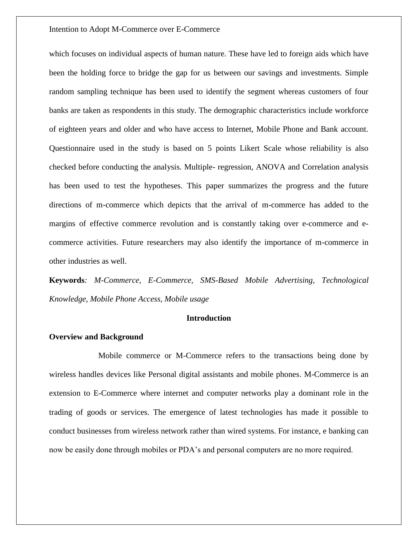which focuses on individual aspects of human nature. These have led to foreign aids which have been the holding force to bridge the gap for us between our savings and investments. Simple random sampling technique has been used to identify the segment whereas customers of four banks are taken as respondents in this study. The demographic characteristics include workforce of eighteen years and older and who have access to Internet, Mobile Phone and Bank account. Questionnaire used in the study is based on 5 points Likert Scale whose reliability is also checked before conducting the analysis. Multiple- regression, ANOVA and Correlation analysis has been used to test the hypotheses. This paper summarizes the progress and the future directions of m-commerce which depicts that the arrival of m-commerce has added to the margins of effective commerce revolution and is constantly taking over e-commerce and ecommerce activities. Future researchers may also identify the importance of m-commerce in other industries as well.

**Keywords***: M-Commerce, E-Commerce, SMS-Based Mobile Advertising, Technological Knowledge, Mobile Phone Access, Mobile usage*

#### **Introduction**

#### **Overview and Background**

Mobile commerce or M-Commerce refers to the transactions being done by wireless handles devices like Personal digital assistants and mobile phones. M-Commerce is an extension to E-Commerce where internet and computer networks play a dominant role in the trading of goods or services. The emergence of latest technologies has made it possible to conduct businesses from wireless network rather than wired systems. For instance, e banking can now be easily done through mobiles or PDA's and personal computers are no more required.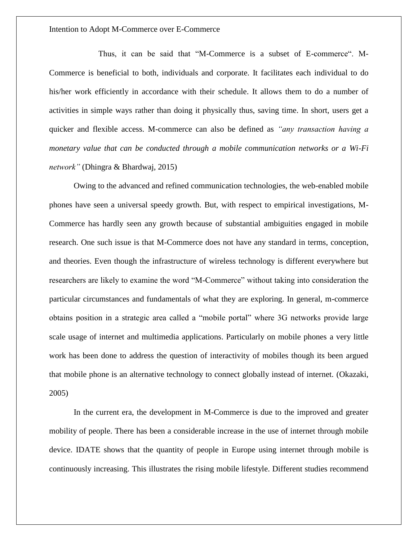Thus, it can be said that "M-Commerce is a subset of E-commerce". M-Commerce is beneficial to both, individuals and corporate. It facilitates each individual to do his/her work efficiently in accordance with their schedule. It allows them to do a number of activities in simple ways rather than doing it physically thus, saving time. In short, users get a quicker and flexible access. M-commerce can also be defined as *"any transaction having a monetary value that can be conducted through a mobile communication networks or a Wi-Fi network"* (Dhingra & Bhardwaj, 2015)

Owing to the advanced and refined communication technologies, the web-enabled mobile phones have seen a universal speedy growth. But, with respect to empirical investigations, M-Commerce has hardly seen any growth because of substantial ambiguities engaged in mobile research. One such issue is that M-Commerce does not have any standard in terms, conception, and theories. Even though the infrastructure of wireless technology is different everywhere but researchers are likely to examine the word "M-Commerce" without taking into consideration the particular circumstances and fundamentals of what they are exploring. In general, m-commerce obtains position in a strategic area called a "mobile portal" where 3G networks provide large scale usage of internet and multimedia applications. Particularly on mobile phones a very little work has been done to address the question of interactivity of mobiles though its been argued that mobile phone is an alternative technology to connect globally instead of internet. (Okazaki, 2005)

In the current era, the development in M-Commerce is due to the improved and greater mobility of people. There has been a considerable increase in the use of internet through mobile device. IDATE shows that the quantity of people in Europe using internet through mobile is continuously increasing. This illustrates the rising mobile lifestyle. Different studies recommend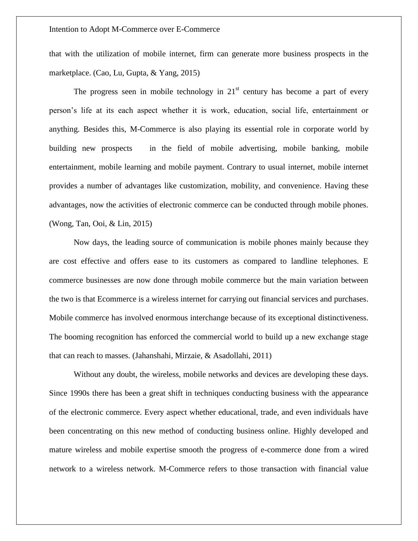that with the utilization of mobile internet, firm can generate more business prospects in the marketplace. (Cao, Lu, Gupta, & Yang, 2015)

The progress seen in mobile technology in  $21<sup>st</sup>$  century has become a part of every person's life at its each aspect whether it is work, education, social life, entertainment or anything. Besides this, M-Commerce is also playing its essential role in corporate world by building new prospects in the field of mobile advertising, mobile banking, mobile entertainment, mobile learning and mobile payment. Contrary to usual internet, mobile internet provides a number of advantages like customization, mobility, and convenience. Having these advantages, now the activities of electronic commerce can be conducted through mobile phones. (Wong, Tan, Ooi, & Lin, 2015)

Now days, the leading source of communication is mobile phones mainly because they are cost effective and offers ease to its customers as compared to landline telephones. E commerce businesses are now done through mobile commerce but the main variation between the two is that Ecommerce is a wireless internet for carrying out financial services and purchases. Mobile commerce has involved enormous interchange because of its exceptional distinctiveness. The booming recognition has enforced the commercial world to build up a new exchange stage that can reach to masses. (Jahanshahi, Mirzaie, & Asadollahi, 2011)

Without any doubt, the wireless, mobile networks and devices are developing these days. Since 1990s there has been a great shift in techniques conducting business with the appearance of the electronic commerce. Every aspect whether educational, trade, and even individuals have been concentrating on this new method of conducting business online. Highly developed and mature wireless and mobile expertise smooth the progress of e-commerce done from a wired network to a wireless network. M-Commerce refers to those transaction with financial value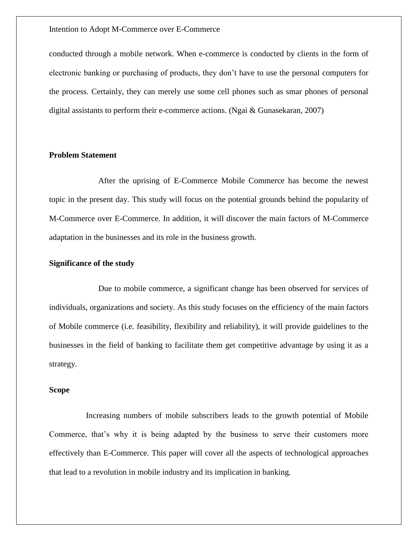conducted through a mobile network. When e-commerce is conducted by clients in the form of electronic banking or purchasing of products, they don't have to use the personal computers for the process. Certainly, they can merely use some cell phones such as smar phones of personal digital assistants to perform their e-commerce actions. (Ngai & Gunasekaran, 2007)

## **Problem Statement**

After the uprising of E-Commerce Mobile Commerce has become the newest topic in the present day. This study will focus on the potential grounds behind the popularity of M-Commerce over E-Commerce. In addition, it will discover the main factors of M-Commerce adaptation in the businesses and its role in the business growth.

## **Significance of the study**

Due to mobile commerce, a significant change has been observed for services of individuals, organizations and society. As this study focuses on the efficiency of the main factors of Mobile commerce (i.e. feasibility, flexibility and reliability), it will provide guidelines to the businesses in the field of banking to facilitate them get competitive advantage by using it as a strategy.

#### **Scope**

Increasing numbers of mobile subscribers leads to the growth potential of Mobile Commerce, that's why it is being adapted by the business to serve their customers more effectively than E-Commerce. This paper will cover all the aspects of technological approaches that lead to a revolution in mobile industry and its implication in banking.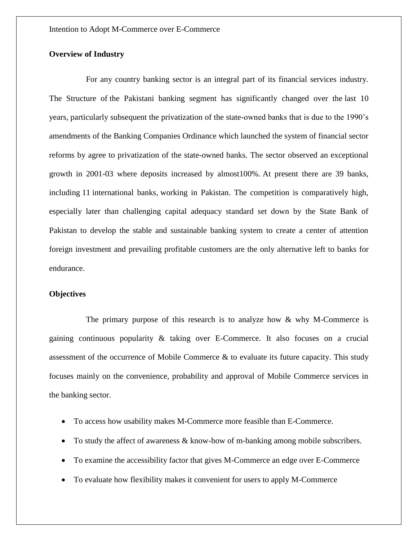## **Overview of Industry**

For any country banking sector is an integral part of its financial services industry. The Structure of the Pakistani banking segment has significantly changed over the last 10 years, particularly subsequent the privatization of the state-owned banks that is due to the 1990's amendments of the Banking Companies Ordinance which launched the system of financial sector reforms by agree to privatization of the state-owned banks. The sector observed an exceptional growth in 2001-03 where deposits increased by almost100%. At present there are 39 banks, including 11 international banks, working in Pakistan. The competition is comparatively high, especially later than challenging capital adequacy standard set down by the State Bank of Pakistan to develop the stable and sustainable banking system to create a center of attention foreign investment and prevailing profitable customers are the only alternative left to banks for endurance.

#### **Objectives**

The primary purpose of this research is to analyze how  $\&$  why M-Commerce is gaining continuous popularity & taking over E-Commerce. It also focuses on a crucial assessment of the occurrence of Mobile Commerce & to evaluate its future capacity. This study focuses mainly on the convenience, probability and approval of Mobile Commerce services in the banking sector.

- To access how usability makes M-Commerce more feasible than E-Commerce.
- To study the affect of awareness & know-how of m-banking among mobile subscribers.
- To examine the accessibility factor that gives M-Commerce an edge over E-Commerce
- To evaluate how flexibility makes it convenient for users to apply M-Commerce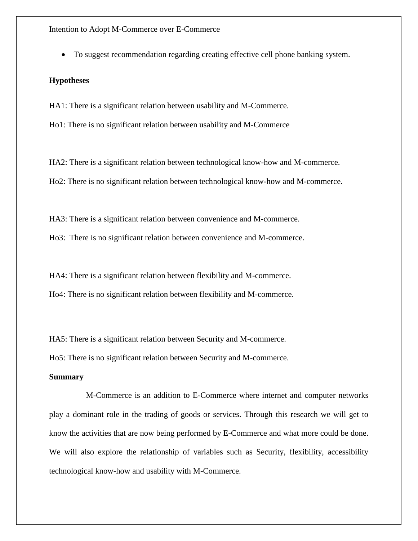To suggest recommendation regarding creating effective cell phone banking system.

## **Hypotheses**

HA1: There is a significant relation between usability and M-Commerce.

Ho1: There is no significant relation between usability and M-Commerce

HA2: There is a significant relation between technological know-how and M-commerce. Ho2: There is no significant relation between technological know-how and M-commerce.

HA3: There is a significant relation between convenience and M-commerce.

Ho3: There is no significant relation between convenience and M-commerce.

HA4: There is a significant relation between flexibility and M-commerce.

Ho4: There is no significant relation between flexibility and M-commerce.

HA5: There is a significant relation between Security and M-commerce.

Ho5: There is no significant relation between Security and M-commerce.

## **Summary**

M-Commerce is an addition to E-Commerce where internet and computer networks play a dominant role in the trading of goods or services. Through this research we will get to know the activities that are now being performed by E-Commerce and what more could be done. We will also explore the relationship of variables such as Security, flexibility, accessibility technological know-how and usability with M-Commerce.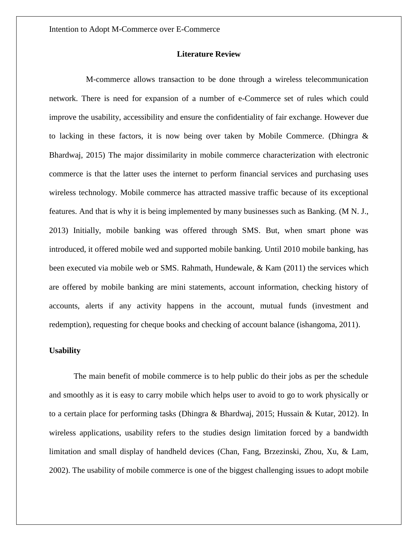## **Literature Review**

M-commerce allows transaction to be done through a wireless telecommunication network. There is need for expansion of a number of e-Commerce set of rules which could improve the usability, accessibility and ensure the confidentiality of fair exchange. However due to lacking in these factors, it is now being over taken by Mobile Commerce. (Dhingra & Bhardwaj, 2015) The major dissimilarity in mobile commerce characterization with electronic commerce is that the latter uses the internet to perform financial services and purchasing uses wireless technology. Mobile commerce has attracted massive traffic because of its exceptional features. And that is why it is being implemented by many businesses such as Banking. (M N. J., 2013) Initially, mobile banking was offered through SMS. But, when smart phone was introduced, it offered mobile wed and supported mobile banking. Until 2010 mobile banking, has been executed via mobile web or SMS. Rahmath, Hundewale, & Kam (2011) the services which are offered by mobile banking are mini statements, account information, checking history of accounts, alerts if any activity happens in the account, mutual funds (investment and redemption), requesting for cheque books and checking of account balance (ishangoma, 2011).

## **Usability**

The main benefit of mobile commerce is to help public do their jobs as per the schedule and smoothly as it is easy to carry mobile which helps user to avoid to go to work physically or to a certain place for performing tasks (Dhingra & Bhardwaj, 2015; Hussain & Kutar, 2012). In wireless applications, usability refers to the studies design limitation forced by a bandwidth limitation and small display of handheld devices (Chan, Fang, Brzezinski, Zhou, Xu, & Lam, 2002). The usability of mobile commerce is one of the biggest challenging issues to adopt mobile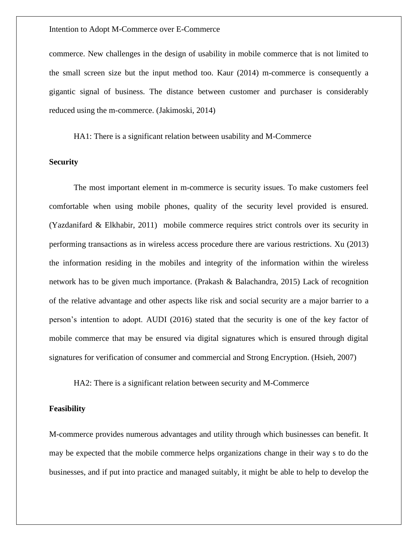commerce. New challenges in the design of usability in mobile commerce that is not limited to the small screen size but the input method too. Kaur (2014) m-commerce is consequently a gigantic signal of business. The distance between customer and purchaser is considerably reduced using the m-commerce. (Jakimoski, 2014)

HA1: There is a significant relation between usability and M-Commerce

## **Security**

The most important element in m-commerce is security issues. To make customers feel comfortable when using mobile phones, quality of the security level provided is ensured. (Yazdanifard & Elkhabir, 2011) mobile commerce requires strict controls over its security in performing transactions as in wireless access procedure there are various restrictions. Xu (2013) the information residing in the mobiles and integrity of the information within the wireless network has to be given much importance. (Prakash & Balachandra, 2015) Lack of recognition of the relative advantage and other aspects like risk and social security are a major barrier to a person's intention to adopt. AUDI (2016) stated that the security is one of the key factor of mobile commerce that may be ensured via digital signatures which is ensured through digital signatures for verification of consumer and commercial and Strong Encryption. (Hsieh, 2007)

HA2: There is a significant relation between security and M-Commerce

## **Feasibility**

M-commerce provides numerous advantages and utility through which businesses can benefit. It may be expected that the mobile commerce helps organizations change in their way s to do the businesses, and if put into practice and managed suitably, it might be able to help to develop the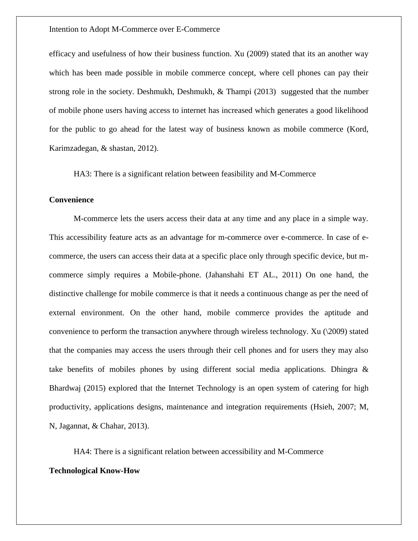efficacy and usefulness of how their business function. Xu (2009) stated that its an another way which has been made possible in mobile commerce concept, where cell phones can pay their strong role in the society. Deshmukh, Deshmukh, & Thampi (2013) suggested that the number of mobile phone users having access to internet has increased which generates a good likelihood for the public to go ahead for the latest way of business known as mobile commerce (Kord, Karimzadegan, & shastan, 2012).

HA3: There is a significant relation between feasibility and M-Commerce

## **Convenience**

M-commerce lets the users access their data at any time and any place in a simple way. This accessibility feature acts as an advantage for m-commerce over e-commerce. In case of ecommerce, the users can access their data at a specific place only through specific device, but mcommerce simply requires a Mobile-phone. (Jahanshahi ET AL., 2011) On one hand, the distinctive challenge for mobile commerce is that it needs a continuous change as per the need of external environment. On the other hand, mobile commerce provides the aptitude and convenience to perform the transaction anywhere through wireless technology. Xu (\2009) stated that the companies may access the users through their cell phones and for users they may also take benefits of mobiles phones by using different social media applications. Dhingra & Bhardwaj (2015) explored that the Internet Technology is an open system of catering for high productivity, applications designs, maintenance and integration requirements (Hsieh, 2007; M, N, Jagannat, & Chahar, 2013).

HA4: There is a significant relation between accessibility and M-Commerce

#### **Technological Know-How**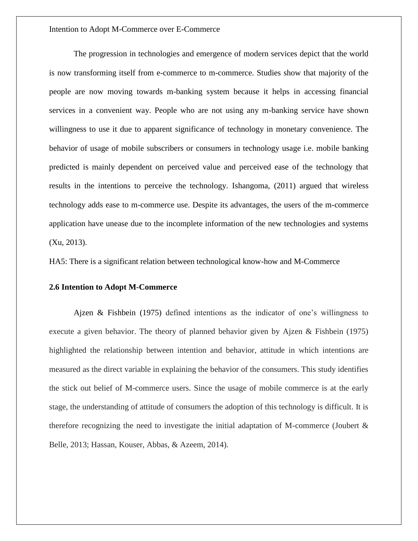The progression in technologies and emergence of modern services depict that the world is now transforming itself from e-commerce to m-commerce. Studies show that majority of the people are now moving towards m-banking system because it helps in accessing financial services in a convenient way. People who are not using any m-banking service have shown willingness to use it due to apparent significance of technology in monetary convenience. The behavior of usage of mobile subscribers or consumers in technology usage i.e. mobile banking predicted is mainly dependent on perceived value and perceived ease of the technology that results in the intentions to perceive the technology. Ishangoma, (2011) argued that wireless technology adds ease to m-commerce use. Despite its advantages, the users of the m-commerce application have unease due to the incomplete information of the new technologies and systems (Xu, 2013).

HA5: There is a significant relation between technological know-how and M-Commerce

#### **2.6 Intention to Adopt M-Commerce**

Ajzen & Fishbein (1975) defined intentions as the indicator of one's willingness to execute a given behavior. The theory of planned behavior given by Ajzen & Fishbein (1975) highlighted the relationship between intention and behavior, attitude in which intentions are measured as the direct variable in explaining the behavior of the consumers. This study identifies the stick out belief of M-commerce users. Since the usage of mobile commerce is at the early stage, the understanding of attitude of consumers the adoption of this technology is difficult. It is therefore recognizing the need to investigate the initial adaptation of M-commerce (Joubert  $\&$ Belle, 2013; Hassan, Kouser, Abbas, & Azeem, 2014).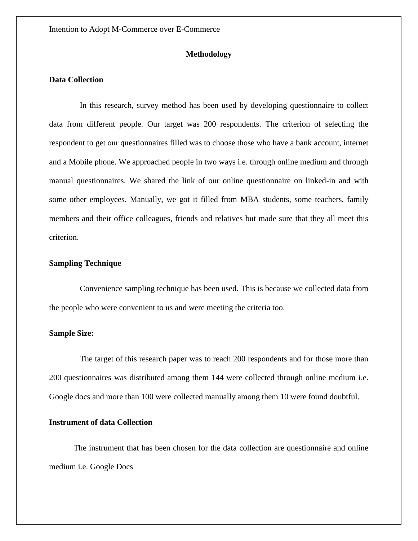## **Methodology**

## **Data Collection**

In this research, survey method has been used by developing questionnaire to collect data from different people. Our target was 200 respondents. The criterion of selecting the respondent to get our questionnaires filled was to choose those who have a bank account, internet and a Mobile phone. We approached people in two ways i.e. through online medium and through manual questionnaires. We shared the link of our online questionnaire on linked-in and with some other employees. Manually, we got it filled from MBA students, some teachers, family members and their office colleagues, friends and relatives but made sure that they all meet this criterion.

## **Sampling Technique**

Convenience sampling technique has been used. This is because we collected data from the people who were convenient to us and were meeting the criteria too.

#### **Sample Size:**

The target of this research paper was to reach 200 respondents and for those more than 200 questionnaires was distributed among them 144 were collected through online medium i.e. Google docs and more than 100 were collected manually among them 10 were found doubtful.

## **Instrument of data Collection**

The instrument that has been chosen for the data collection are questionnaire and online medium i.e. Google Docs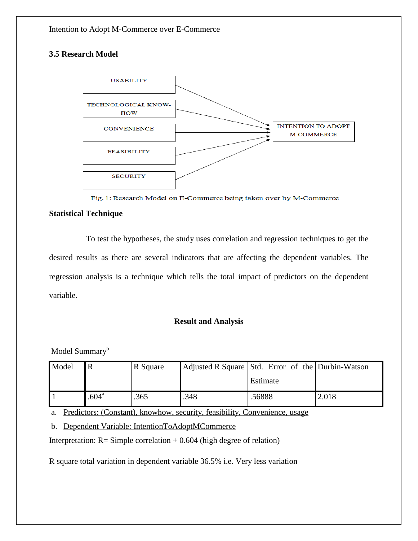# **3.5 Research Model**



Fig. 1: Research Model on E-Commerce being taken over by M-Commerce

## **Statistical Technique**

To test the hypotheses, the study uses correlation and regression techniques to get the desired results as there are several indicators that are affecting the dependent variables. The regression analysis is a technique which tells the total impact of predictors on the dependent variable.

## **Result and Analysis**

Model Summary<sup>b</sup>

| Model |                | R Square | Adjusted R Square Std. Error of the Durbin-Watson |          |       |  |
|-------|----------------|----------|---------------------------------------------------|----------|-------|--|
|       |                |          |                                                   | Estimate |       |  |
|       | $.604^{\rm a}$ | .365     | .348                                              | .56888   | 2.018 |  |

a. Predictors: (Constant), knowhow, security, feasibility, Convenience, usage

b. Dependent Variable: IntentionToAdoptMCommerce

Interpretation:  $R =$  Simple correlation + 0.604 (high degree of relation)

R square total variation in dependent variable 36.5% i.e. Very less variation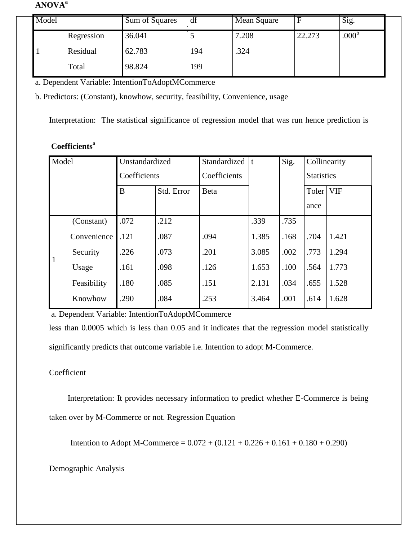# **ANOVA<sup>a</sup>**

| Model |            | Sum of Squares | df  | Mean Square |        | Sig.              |
|-------|------------|----------------|-----|-------------|--------|-------------------|
|       | Regression | 36.041         |     | 7.208       | 22.273 | .000 <sup>b</sup> |
|       | Residual   | 62.783         | 194 | .324        |        |                   |
|       | Total      | 98.824         | 199 |             |        |                   |

a. Dependent Variable: IntentionToAdoptMCommerce

b. Predictors: (Constant), knowhow, security, feasibility, Convenience, usage

Interpretation: The statistical significance of regression model that was run hence prediction is

# **Coefficients<sup>a</sup>**

| Model        |             | Unstandardized |            | Standardized | Sig.<br>$\mathbf t$ |      | Collinearity      |            |
|--------------|-------------|----------------|------------|--------------|---------------------|------|-------------------|------------|
|              |             | Coefficients   |            | Coefficients |                     |      | <b>Statistics</b> |            |
|              |             | B              | Std. Error | <b>B</b> eta |                     |      | Toler             | <b>VIF</b> |
|              |             |                |            |              |                     |      | ance              |            |
| $\mathbf{1}$ | (Constant)  | .072           | .212       |              | .339                | .735 |                   |            |
|              | Convenience | .121           | .087       | .094         | 1.385               | .168 | .704              | 1.421      |
|              | Security    | .226           | .073       | .201         | 3.085               | .002 | .773              | 1.294      |
|              | Usage       | .161           | .098       | .126         | 1.653               | .100 | .564              | 1.773      |
|              | Feasibility | .180           | .085       | .151         | 2.131               | .034 | .655              | 1.528      |
|              | Knowhow     | .290           | .084       | .253         | 3.464               | .001 | .614              | 1.628      |

a. Dependent Variable: IntentionToAdoptMCommerce

less than 0.0005 which is less than 0.05 and it indicates that the regression model statistically significantly predicts that outcome variable i.e. Intention to adopt M-Commerce.

# Coefficient

 Interpretation: It provides necessary information to predict whether E-Commerce is being taken over by M-Commerce or not. Regression Equation

Intention to Adopt M-Commerce =  $0.072 + (0.121 + 0.226 + 0.161 + 0.180 + 0.290)$ 

# Demographic Analysis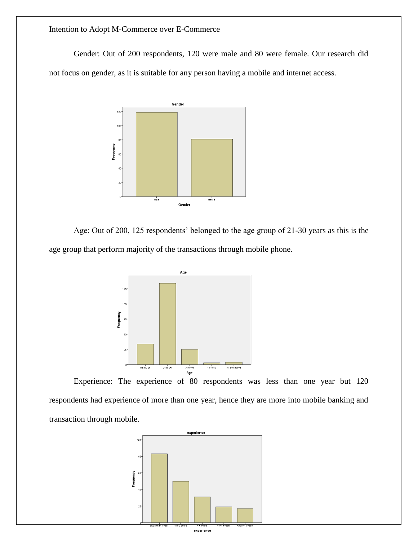Gender: Out of 200 respondents, 120 were male and 80 were female. Our research did not focus on gender, as it is suitable for any person having a mobile and internet access.



Age: Out of 200, 125 respondents' belonged to the age group of 21-30 years as this is the age group that perform majority of the transactions through mobile phone.



Experience: The experience of 80 respondents was less than one year but 120 respondents had experience of more than one year, hence they are more into mobile banking and transaction through mobile.

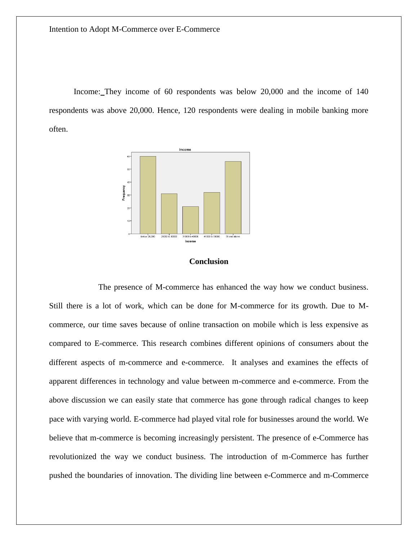Income: They income of 60 respondents was below 20,000 and the income of 140 respondents was above 20,000. Hence, 120 respondents were dealing in mobile banking more often.



#### **Conclusion**

The presence of M-commerce has enhanced the way how we conduct business. Still there is a lot of work, which can be done for M-commerce for its growth. Due to Mcommerce, our time saves because of online transaction on mobile which is less expensive as compared to E-commerce. This research combines different opinions of consumers about the different aspects of m-commerce and e-commerce. It analyses and examines the effects of apparent differences in technology and value between m-commerce and e-commerce. From the above discussion we can easily state that commerce has gone through radical changes to keep pace with varying world. E-commerce had played vital role for businesses around the world. We believe that m-commerce is becoming increasingly persistent. The presence of e-Commerce has revolutionized the way we conduct business. The introduction of m-Commerce has further pushed the boundaries of innovation. The dividing line between e-Commerce and m-Commerce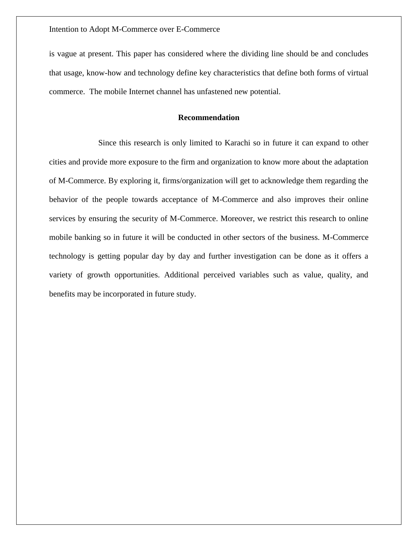is vague at present. This paper has considered where the dividing line should be and concludes that usage, know-how and technology define key characteristics that define both forms of virtual commerce. The mobile Internet channel has unfastened new potential.

## **Recommendation**

Since this research is only limited to Karachi so in future it can expand to other cities and provide more exposure to the firm and organization to know more about the adaptation of M-Commerce. By exploring it, firms/organization will get to acknowledge them regarding the behavior of the people towards acceptance of M-Commerce and also improves their online services by ensuring the security of M-Commerce. Moreover, we restrict this research to online mobile banking so in future it will be conducted in other sectors of the business. M-Commerce technology is getting popular day by day and further investigation can be done as it offers a variety of growth opportunities. Additional perceived variables such as value, quality, and benefits may be incorporated in future study.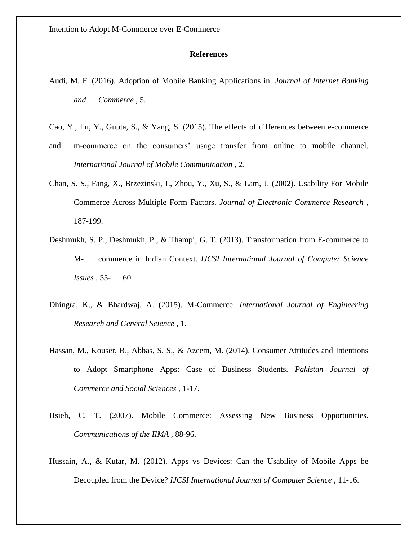## **References**

- Audi, M. F. (2016). Adoption of Mobile Banking Applications in. *Journal of Internet Banking and Commerce* , 5.
- Cao, Y., Lu, Y., Gupta, S., & Yang, S. (2015). The effects of differences between e-commerce
- and m-commerce on the consumers' usage transfer from online to mobile channel. *International Journal of Mobile Communication* , 2.
- Chan, S. S., Fang, X., Brzezinski, J., Zhou, Y., Xu, S., & Lam, J. (2002). Usability For Mobile Commerce Across Multiple Form Factors. *Journal of Electronic Commerce Research* , 187-199.
- Deshmukh, S. P., Deshmukh, P., & Thampi, G. T. (2013). Transformation from E-commerce to M- commerce in Indian Context. *IJCSI International Journal of Computer Science Issues* , 55- 60.
- Dhingra, K., & Bhardwaj, A. (2015). M-Commerce. *International Journal of Engineering Research and General Science* , 1.
- Hassan, M., Kouser, R., Abbas, S. S., & Azeem, M. (2014). Consumer Attitudes and Intentions to Adopt Smartphone Apps: Case of Business Students. *Pakistan Journal of Commerce and Social Sciences* , 1-17.
- Hsieh, C. T. (2007). Mobile Commerce: Assessing New Business Opportunities. *Communications of the IIMA* , 88-96.
- Hussain, A., & Kutar, M. (2012). Apps vs Devices: Can the Usability of Mobile Apps be Decoupled from the Device? *IJCSI International Journal of Computer Science* , 11-16.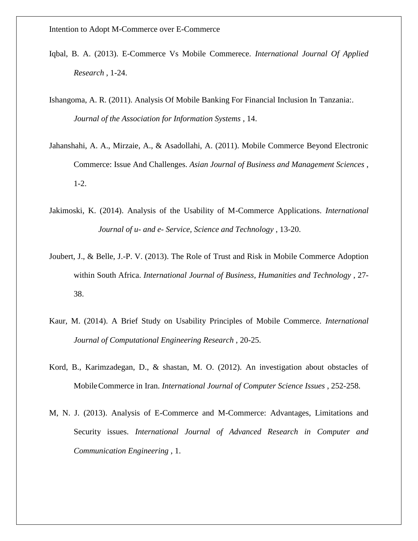- Iqbal, B. A. (2013). E-Commerce Vs Mobile Commerece. *International Journal Of Applied Research* , 1-24.
- Ishangoma, A. R. (2011). Analysis Of Mobile Banking For Financial Inclusion In Tanzania:. *Journal of the Association for Information Systems* , 14.
- Jahanshahi, A. A., Mirzaie, A., & Asadollahi, A. (2011). Mobile Commerce Beyond Electronic Commerce: Issue And Challenges. *Asian Journal of Business and Management Sciences* , 1-2.
- Jakimoski, K. (2014). Analysis of the Usability of M-Commerce Applications. *International Journal of u- and e- Service, Science and Technology* , 13-20.
- Joubert, J., & Belle, J.-P. V. (2013). The Role of Trust and Risk in Mobile Commerce Adoption within South Africa. *International Journal of Business, Humanities and Technology* , 27- 38.
- Kaur, M. (2014). A Brief Study on Usability Principles of Mobile Commerce. *International Journal of Computational Engineering Research* , 20-25.
- Kord, B., Karimzadegan, D., & shastan, M. O. (2012). An investigation about obstacles of MobileCommerce in Iran. *International Journal of Computer Science Issues* , 252-258.
- M, N. J. (2013). Analysis of E-Commerce and M-Commerce: Advantages, Limitations and Security issues. *International Journal of Advanced Research in Computer and Communication Engineering* , 1.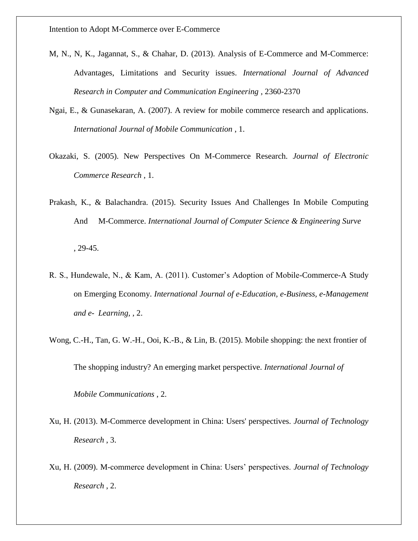- M, N., N, K., Jagannat, S., & Chahar, D. (2013). Analysis of E-Commerce and M-Commerce: Advantages, Limitations and Security issues. *International Journal of Advanced Research in Computer and Communication Engineering* , 2360-2370
- Ngai, E., & Gunasekaran, A. (2007). A review for mobile commerce research and applications. *International Journal of Mobile Communication* , 1.
- Okazaki, S. (2005). New Perspectives On M-Commerce Research. *Journal of Electronic Commerce Research* , 1.
- Prakash, K., & Balachandra. (2015). Security Issues And Challenges In Mobile Computing And M-Commerce. *International Journal of Computer Science & Engineering Surve* , 29-45.
- R. S., Hundewale, N., & Kam, A. (2011). Customer's Adoption of Mobile-Commerce-A Study on Emerging Economy. *International Journal of e-Education, e-Business, e-Management and e- Learning,* , 2.
- Wong, C.-H., Tan, G. W.-H., Ooi, K.-B., & Lin, B. (2015). Mobile shopping: the next frontier of

The shopping industry? An emerging market perspective. *International Journal of*

*Mobile Communications* , 2.

- Xu, H. (2013). M-Commerce development in China: Users' perspectives. *Journal of Technology Research* , 3.
- Xu, H. (2009). M-commerce development in China: Users' perspectives. *Journal of Technology Research* , 2.